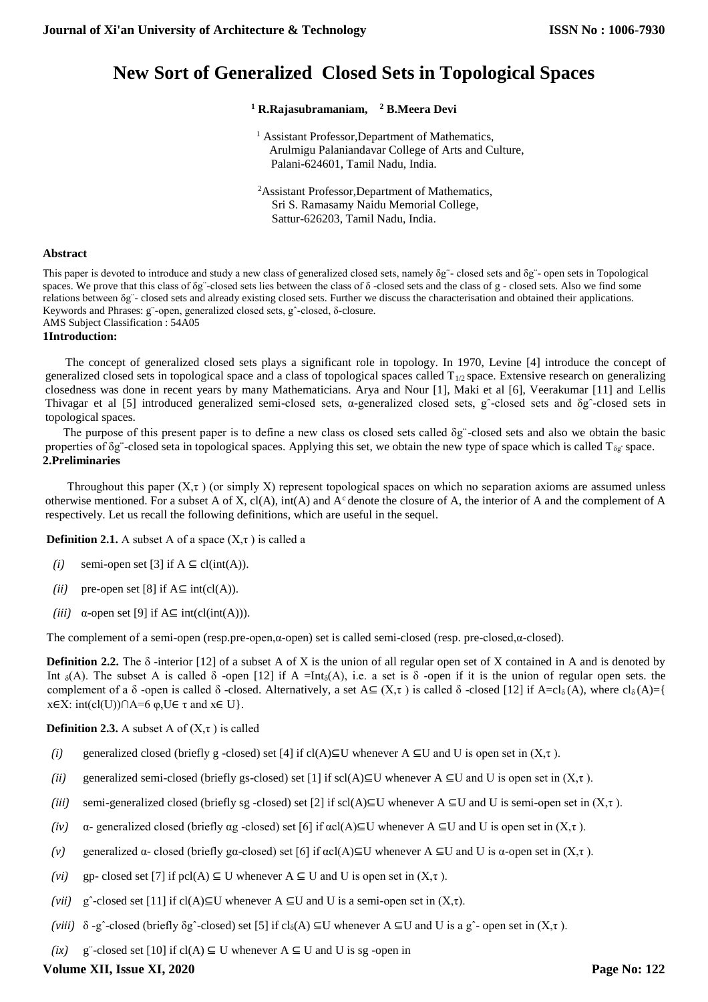# **New Sort of Generalized Closed Sets in Topological Spaces**

## **<sup>1</sup> R.Rajasubramaniam, <sup>2</sup> B.Meera Devi**

- <sup>1</sup> Assistant Professor, Department of Mathematics, Arulmigu Palaniandavar College of Arts and Culture, Palani-624601, Tamil Nadu, India.
- <sup>2</sup>Assistant Professor,Department of Mathematics, Sri S. Ramasamy Naidu Memorial College, Sattur-626203, Tamil Nadu, India.

## **Abstract**

This paper is devoted to introduce and study a new class of generalized closed sets, namely δg¨- closed sets and δg¨- open sets in Topological spaces. We prove that this class of  $\delta g$  -closed sets lies between the class of  $\delta$  -closed sets and the class of g - closed sets. Also we find some relations between δg¨- closed sets and already existing closed sets. Further we discuss the characterisation and obtained their applications. Keywords and Phrases: g¨-open, generalized closed sets, gˆ-closed, δ-closure. AMS Subject Classification : 54A05

## **1Introduction:**

The concept of generalized closed sets plays a significant role in topology. In 1970, Levine [4] introduce the concept of generalized closed sets in topological space and a class of topological spaces called  $T_{1/2}$  space. Extensive research on generalizing closedness was done in recent years by many Mathematicians. Arya and Nour [1], Maki et al [6], Veerakumar [11] and Lellis Thivagar et al [5] introduced generalized semi-closed sets, α-generalized closed sets, gˆ-closed sets and δgˆ-closed sets in topological spaces.

The purpose of this present paper is to define a new class os closed sets called δg¨-closed sets and also we obtain the basic properties of  $\delta g$  -closed seta in topological spaces. Applying this set, we obtain the new type of space which is called  $T_{\delta g}$  space. **2.Preliminaries**

Throughout this paper  $(X, \tau)$  (or simply X) represent topological spaces on which no separation axioms are assumed unless otherwise mentioned. For a subset A of X, cl(A), int(A) and  $A<sup>c</sup>$  denote the closure of A, the interior of A and the complement of A respectively. Let us recall the following definitions, which are useful in the sequel.

**Definition 2.1.** A subset A of a space  $(X, \tau)$  is called a

- *(i)* semi-open set [3] if  $A \subseteq \text{cl(int(A))}$ .
- *(ii)* pre-open set [8] if  $A \subseteq int(cl(A))$ .
- *(iii)* α-open set [9] if  $A ⊆ int(cl(int(A))).$

The complement of a semi-open (resp.pre-open,α-open) set is called semi-closed (resp. pre-closed,α-closed).

**Definition 2.2.** The  $\delta$  -interior [12] of a subset A of X is the union of all regular open set of X contained in A and is denoted by Int  $_{\delta}(A)$ . The subset A is called  $\delta$  -open [12] if A =Int<sub> $_{\delta}(A)$ </sub>, i.e. a set is  $\delta$  -open if it is the union of regular open sets. the complement of a δ -open is called δ -closed. Alternatively, a set  $A \subseteq (X, \tau)$  is called δ -closed [12] if  $A = cl_0(A)$ , where  $cl_0(A) = \{$  $x \in X$ : int(cl(U))∩A=6  $\varphi$ ,U $\in \tau$  and  $x \in U$ }.

**Definition 2.3.** A subset A of  $(X, \tau)$  is called

- *(i)* generalized closed (briefly g -closed) set [4] if cl(A)⊆U whenever A ⊆U and U is open set in  $(X, \tau)$ .
- *(ii)* generalized semi-closed (briefly gs-closed) set [1] if scl(A)⊆U whenever A ⊆U and U is open set in  $(X, \tau)$ .
- *(iii)* semi-generalized closed (briefly sg -closed) set [2] if scl(A)⊆U whenever A ⊆U and U is semi-open set in  $(X, \tau)$ .
- *(iv)*  $\alpha$  generalized closed (briefly  $\alpha$ g -closed) set [6] if  $\alpha c(A) \subseteq U$  whenever A  $\subseteq U$  and U is open set in  $(X, \tau)$ .
- *(v)* generalized  $\alpha$  closed (briefly gα-closed) set [6] if  $\alpha$ cl(A)⊆U whenever A ⊆U and U is  $\alpha$ -open set in (X,τ).
- *(vi)* gp- closed set [7] if pcl(A)  $\subseteq$  U whenever A  $\subseteq$  U and U is open set in  $(X, \tau)$ .
- *(vii)* g<sup> $\hat{C}$ </sup>-closed set [11] if cl(A)⊆U whenever A ⊆U and U is a semi-open set in  $(X,\tau)$ .
- *(viii)*  $\delta$ -gˆ-closed (briefly  $\delta g$ ˆ-closed) set [5] if cl<sub> $\delta$ </sub>(A)  $\subseteq$ U whenever A  $\subseteq$ U and U is a gˆ- open set in (X, t).
- *(ix)* g¨-closed set [10] if cl(A) ⊆ U whenever  $A ⊆ U$  and U is sg -open in

## **Volume XII, Issue XI, 2020**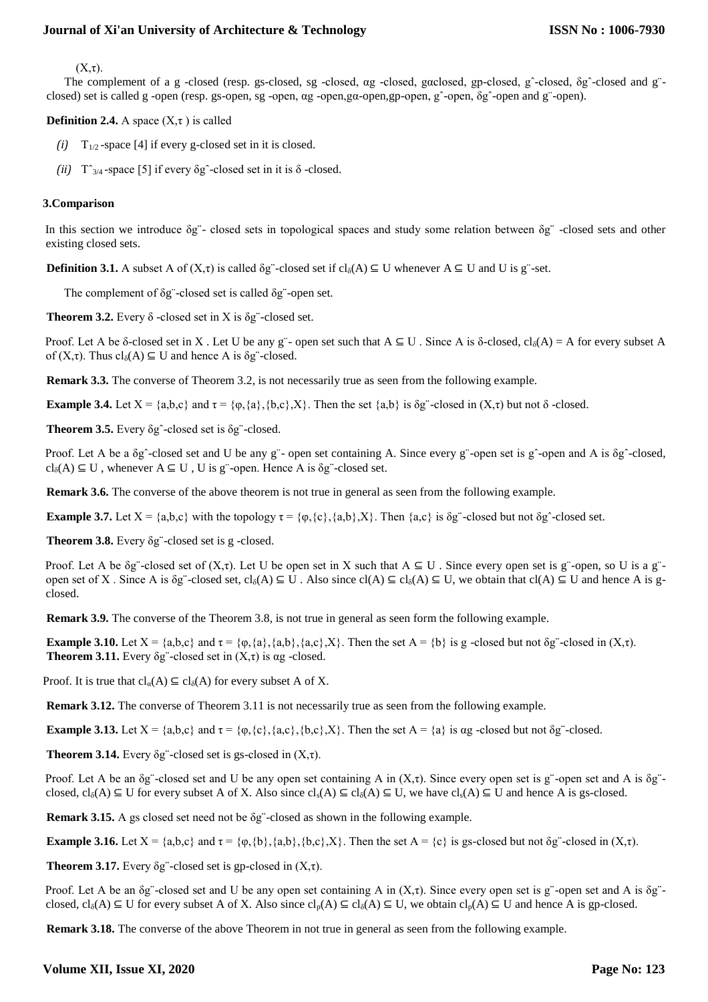$(X,\tau)$ .

The complement of a g -closed (resp. gs-closed, sg -closed, αg -closed, gαclosed, gp-closed, gˆ-closed, δgˆ-closed and g¨ closed) set is called g -open (resp. gs-open, sg -open, αg -open,gα-open,gp-open, gˆ-open, δgˆ-open and g¨-open).

**Definition 2.4.** A space  $(X, \tau)$  is called

- $(i)$  T<sub>1/2</sub>-space [4] if every g-closed set in it is closed.
- *(ii)*  $T^{\prime}_{3/4}$ -space [5] if every  $\delta g^{\prime}$ -closed set in it is  $\delta$ -closed.

### **3.Comparison**

In this section we introduce δg¨- closed sets in topological spaces and study some relation between δg¨ -closed sets and other existing closed sets.

**Definition 3.1.** A subset A of  $(X,\tau)$  is called  $\delta g$  -closed set if  $cl_{\delta}(A) \subseteq U$  whenever  $A \subseteq U$  and U is g set.

The complement of δg¨-closed set is called δg¨-open set.

**Theorem 3.2.** Every  $\delta$  -closed set in X is  $\delta$ g"-closed set.

Proof. Let A be  $\delta$ -closed set in X. Let U be any g¨- open set such that A  $\subseteq$  U. Since A is  $\delta$ -closed, cl<sub> $\delta$ </sub>(A) = A for every subset A of  $(X,\tau)$ . Thus  $cl_{\delta}(A) \subseteq U$  and hence A is  $\delta g^{\tau}$ -closed.

**Remark 3.3.** The converse of Theorem 3.2, is not necessarily true as seen from the following example.

**Example 3.4.** Let  $X = \{a,b,c\}$  and  $\tau = \{\varphi,\{a\},\{b,c\},X\}$ . Then the set  $\{a,b\}$  is  $\delta g^*$ -closed in  $(X,\tau)$  but not  $\delta$ -closed.

**Theorem 3.5.** Every δgˆ-closed set is δg¨-closed.

Proof. Let A be a δgˆ-closed set and U be any g¨- open set containing A. Since every g¨-open set is gˆ-open and A is δgˆ-closed,  $cl_{\delta}(A) \subseteq U$ , whenever  $A \subseteq U$ , U is g<sup>-</sup>-open. Hence A is  $\delta g$ <sup>--</sup>closed set.

**Remark 3.6.** The converse of the above theorem is not true in general as seen from the following example.

**Example 3.7.** Let  $X = \{a,b,c\}$  with the topology  $\tau = \{\varphi, \{c\}, \{a,b\}, X\}$ . Then  $\{a,c\}$  is  $\delta g^{\tau}$ -closed but not  $\delta g^{\tau}$ -closed set.

**Theorem 3.8.** Every δg¨-closed set is g -closed.

Proof. Let A be  $\delta g$  -closed set of  $(X,\tau)$ . Let U be open set in X such that  $A \subseteq U$ . Since every open set is g open, so U is a g open set of X. Since A is δg¨-closed set,  $cl_{\delta}(A) \subseteq U$ . Also since  $cl(A) \subseteq cl_{\delta}(A) \subseteq U$ , we obtain that  $cl(A) \subseteq U$  and hence A is gclosed.

**Remark 3.9.** The converse of the Theorem 3.8, is not true in general as seen form the following example.

**Example 3.10.** Let  $X = \{a,b,c\}$  and  $\tau = \{\varphi,\{a\},\{a,b\},\{a,c\},X\}$ . Then the set  $A = \{b\}$  is g-closed but not  $\delta g$  -closed in  $(X,\tau)$ . **Theorem 3.11.** Every  $\delta$ g"-closed set in  $(X,\tau)$  is ag -closed.

Proof. It is true that  $cl_{\alpha}(A) \subseteq cl_{\delta}(A)$  for every subset A of X.

**Remark 3.12.** The converse of Theorem 3.11 is not necessarily true as seen from the following example.

**Example 3.13.** Let  $X = \{a,b,c\}$  and  $\tau = \{\varphi,\{c\},\{a,c\},\{b,c\},X\}$ . Then the set  $A = \{a\}$  is ag-closed but not  $\delta g$  -closed.

**Theorem 3.14.** Every  $\delta$ g"-closed set is gs-closed in  $(X,\tau)$ .

Proof. Let A be an  $\delta$ g"-closed set and U be any open set containing A in  $(X, \tau)$ . Since every open set is g"-open set and A is  $\delta$ g"closed,  $cl_{\delta}(A) \subseteq U$  for every subset A of X. Also since  $cl_{\delta}(A) \subseteq cl_{\delta}(A) \subseteq U$ , we have  $cl_{\delta}(A) \subseteq U$  and hence A is gs-closed.

**Remark 3.15.** A gs closed set need not be δg¨-closed as shown in the following example.

**Example 3.16.** Let  $X = \{a,b,c\}$  and  $\tau = \{\varphi,\{b\},\{a,b\},\{b,c\},X\}$ . Then the set  $A = \{c\}$  is gs-closed but not  $\delta g$  -closed in  $(X,\tau)$ .

**Theorem 3.17.** Every  $\delta$ g"-closed set is gp-closed in  $(X,\tau)$ .

Proof. Let A be an  $\delta$ g"-closed set and U be any open set containing A in  $(X, \tau)$ . Since every open set is g"-open set and A is  $\delta$ g"closed,  $cl_{\delta}(A) \subseteq U$  for every subset A of X. Also since  $cl_{p}(A) \subseteq cl_{\delta}(A) \subseteq U$ , we obtain  $cl_{p}(A) \subseteq U$  and hence A is gp-closed.

**Remark 3.18.** The converse of the above Theorem in not true in general as seen from the following example.

## **Volume XII, Issue XI, 2020**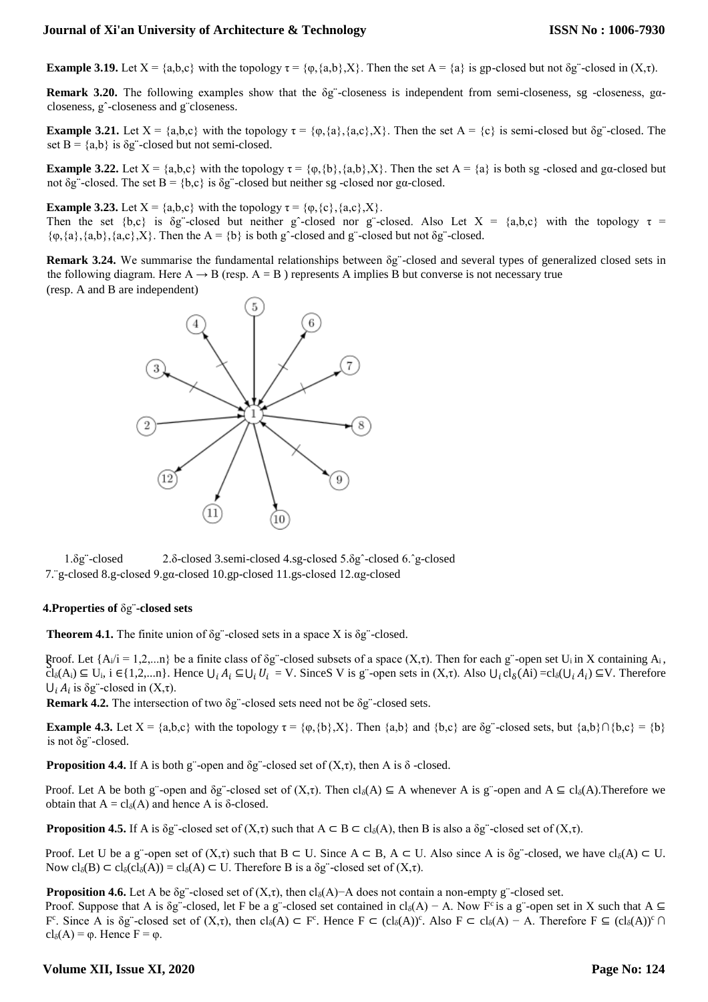**Example 3.19.** Let  $X = \{a,b,c\}$  with the topology  $\tau = \{\varphi,\{a,b\},X\}$ . Then the set  $A = \{a\}$  is gp-closed but not  $\delta g$  -closed in  $(X,\tau)$ .

**Remark 3.20.** The following examples show that the δg¨-closeness is independent from semi-closeness, sg -closeness, gαcloseness, gˆ-closeness and g¨closeness.

**Example 3.21.** Let  $X = \{a,b,c\}$  with the topology  $\tau = \{\varphi, \{a\}, \{a,c\}, X\}$ . Then the set  $A = \{c\}$  is semi-closed but  $\delta g$  -closed. The set  $B = \{a,b\}$  is  $\delta g$ <sup>-</sup>-closed but not semi-closed.

**Example 3.22.** Let  $X = \{a,b,c\}$  with the topology  $\tau = \{\varphi,\{b\},\{a,b\},X\}$ . Then the set  $A = \{a\}$  is both sg -closed and ga-closed but not  $\delta g$  -closed. The set  $B = \{b,c\}$  is  $\delta g$  -closed but neither sg -closed nor ga-closed.

**Example 3.23.** Let  $X = \{a,b,c\}$  with the topology  $\tau = \{\varphi, \{c\}, \{a,c\}, X\}.$ 

Then the set {b,c} is δg -closed but neither g -closed nor g -closed. Also Let  $X = \{a,b,c\}$  with the topology  $\tau =$  $\{\varphi, \{a\}, \{a,b\}, \{a,c\}, X\}$ . Then the A =  $\{b\}$  is both g<sup>o</sup>-closed and g<sup>o-</sup>closed but not  $\delta g$ <sup>o</sup>-closed.

**Remark 3.24.** We summarise the fundamental relationships between δg¨-closed and several types of generalized closed sets in the following diagram. Here  $A \rightarrow B$  (resp.  $A = B$ ) represents A implies B but converse is not necessary true (resp. A and B are independent)



1.δg¨-closed 2.δ-closed 3.semi-closed 4.sg-closed 5.δgˆ-closed 6.ˆg-closed 7.¨g-closed 8.g-closed 9.gα-closed 10.gp-closed 11.gs-closed 12.αg-closed

#### **4.Properties of** δg¨**-closed sets**

**Theorem 4.1.** The finite union of δg¨-closed sets in a space X is δg¨-closed.

Proof. Let {A<sub>i</sub>/i = 1,2,...n} be a finite class of δg<sup>"</sup>-closed subsets of a space (X,τ). Then for each g"-open set U<sub>i</sub> in X containing A<sub>i</sub>,<br>
Shi (A) = V<sub>i</sub> in Containing A<sub>i</sub>  $\text{Cl}_{\delta}(A_i) \subseteq U_i$ ,  $i \in \{1,2,...n\}$ . Hence  $\bigcup_i A_i \subseteq \bigcup_i U_i = V$ . SinceS V is g"-open sets in  $(X,\tau)$ . Also  $\bigcup_i cl_{\delta}(Ai) = cl_{\delta}(\bigcup_i A_i) \subseteq V$ . Therefore  $\bigcup_i A_i$  is  $\delta$ g"-closed in  $(X,\tau)$ .

**Remark 4.2.** The intersection of two δg¨-closed sets need not be δg¨-closed sets.

**Example 4.3.** Let  $X = \{a,b,c\}$  with the topology  $\tau = \{\varphi,\{b\},X\}$ . Then  $\{a,b\}$  and  $\{b,c\}$  are  $\delta g$  -closed sets, but  $\{a,b\} \cap \{b,c\} = \{b\}$ is not δg¨-closed.

**Proposition 4.4.** If A is both g<sup>"</sup>-open and  $\delta$ g<sup>"</sup>-closed set of  $(X,\tau)$ , then A is  $\delta$ -closed.

Proof. Let A be both g¨-open and  $\delta g$ ¨-closed set of  $(X,\tau)$ . Then  $\text{cl}_{\delta}(A) \subseteq A$  whenever A is g¨-open and  $A \subseteq \text{cl}_{\delta}(A)$ . Therefore we obtain that  $A = cl_{\delta}(A)$  and hence A is  $\delta$ -closed.

**Proposition 4.5.** If A is δg"-closed set of  $(X,τ)$  such that  $A \subseteq B \subseteq cl_{\delta}(A)$ , then B is also a δg"-closed set of  $(X,τ)$ .

Proof. Let U be a g¨-open set of  $(X,\tau)$  such that  $B \subset U$ . Since  $A \subset B$ ,  $A \subset U$ . Also since A is  $\delta g$  -closed, we have cl<sub> $\delta(A) \subset U$ </sub>. Now  $cl_{\delta}(B) \subset cl_{\delta}(cl_{\delta}(A)) = cl_{\delta}(A) \subset U$ . Therefore B is a  $\delta g$  -closed set of  $(X, \tau)$ .

**Proposition 4.6.** Let A be  $\delta g$  -closed set of (X,τ), then cl<sub> $\delta$ </sub>(A)−A does not contain a non-empty g -closed set.

Proof. Suppose that A is δg"-closed, let F be a g"-closed set contained in cl<sub>δ</sub>(A) – A. Now F<sup>c</sup> is a g"-open set in X such that A  $\subseteq$ F<sup>c</sup>. Since A is  $\delta g^-$ -closed set of  $(X,\tau)$ , then  $cl_{\delta}(A) \subset F^c$ . Hence  $F \subset (cl_{\delta}(A))^c$ . Also  $F \subset cl_{\delta}(A) - A$ . Therefore  $F \subseteq (cl_{\delta}(A))^c \cap$ cl<sub>δ</sub>(A) =  $\varphi$ . Hence F =  $\varphi$ .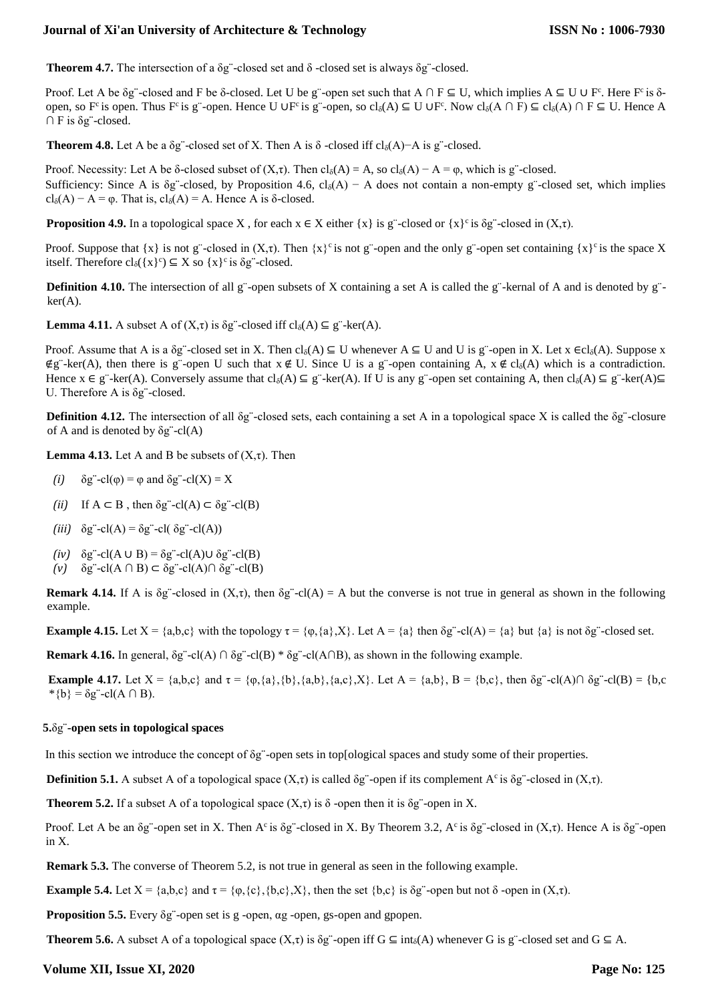**Theorem 4.7.** The intersection of a δg¨-closed set and δ -closed set is always δg¨-closed.

Proof. Let A be  $\delta$ g"-closed and F be  $\delta$ -closed. Let U be g"-open set such that A ∩ F ⊆ U, which implies A ⊆ U ∪ F°. Here F° is  $\delta$ open, so F<sup>c</sup> is open. Thus F<sup>c</sup> is g¨-open. Hence U ∪F<sup>c</sup> is g¨-open, so cl<sub>δ</sub>(A)  $\subseteq$  U ∪F<sup>c</sup>. Now cl<sub>δ</sub>(A)  $\cap$  F)  $\subseteq$  cl<sub>δ</sub>(A)  $\cap$  F  $\subseteq$  U. Hence A  $\cap$  F is  $\delta$ g"-closed.

**Theorem 4.8.** Let A be a  $\delta$ g -closed set of X. Then A is  $\delta$  -closed iff cl<sub> $\delta$ </sub>(A)−A is g -closed.

Proof. Necessity: Let A be δ-closed subset of  $(X,\tau)$ . Then  $cl_{\delta}(A) = A$ , so  $cl_{\delta}(A) - A = \varphi$ , which is g¨-closed. Sufficiency: Since A is  $\delta g$  -closed, by Proposition 4.6, cl<sub>δ</sub>(A) – A does not contain a non-empty g -closed set, which implies cl<sub>δ</sub>(A) – A =  $\varphi$ . That is, cl<sub>δ</sub>(A) = A. Hence A is δ-closed.

**Proposition 4.9.** In a topological space X, for each  $x \in X$  either  $\{x\}$  is g¨-closed or  $\{x\}$ <sup>c</sup> is  $\delta g$ ¨-closed in  $(X, \tau)$ .

Proof. Suppose that  $\{x\}$  is not g¨-closed in  $(X,\tau)$ . Then  $\{x\}^c$  is not g¨-open and the only g¨-open set containing  $\{x\}^c$  is the space X itself. Therefore  $cl_{\delta}(\{x\}^c) \subseteq X$  so  $\{x\}^c$  is  $\delta g^c$ -closed.

**Definition 4.10.** The intersection of all g¨-open subsets of X containing a set A is called the g¨-kernal of A and is denoted by g¨ $ker(A)$ .

**Lemma 4.11.** A subset A of  $(X,\tau)$  is  $\delta g^{\tau}$ -closed iff  $cl_{\delta}(A) \subseteq g^{\tau}$ -ker $(A)$ .

Proof. Assume that A is a  $\delta g^{\circ}$ -closed set in X. Then cl<sub> $\delta(A) \subseteq U$ </sub> whenever  $A \subseteq U$  and U is g<sup>oon</sup> in X. Let  $x \in cl_{\delta}(A)$ . Suppose x  $\notin$ g¨-ker(A), then there is g¨-open U such that  $x \notin U$ . Since U is a g¨-open containing A,  $x \notin cl_{\delta}(A)$  which is a contradiction. Hence  $x \in g^-$ -ker(A). Conversely assume that  $cl_{\delta}(A) \subseteq g^-$ -ker(A). If U is any g<sup>-</sup>-open set containing A, then  $cl_{\delta}(A) \subseteq g^-$ -ker(A) $\subseteq$ U. Therefore A is  $\delta g$  -closed.

**Definition 4.12.** The intersection of all δg¨-closed sets, each containing a set A in a topological space X is called the δg¨-closure of A and is denoted by  $\delta g$  -cl(A)

**Lemma 4.13.** Let A and B be subsets of  $(X,\tau)$ . Then

- *(i)*  $\delta g$   $\text{cl}(\varphi) = \varphi$  and  $\delta g$   $\text{cl}(X) = X$
- *(ii)* If  $A \subseteq B$ , then  $\delta g$ <sup>"</sup>-cl(A)  $\subseteq \delta g$ <sup>"</sup>-cl(B)
- $(iii)$   $\delta$ g"-cl(A) =  $\delta$ g"-cl( $\delta$ g"-cl(A))
- $(iv)$  δg"-cl(A ∪ B) = δg"-cl(A)∪ δg"-cl(B)
- *(v)* δg¨-cl(A ∩ B) ⊂ δg¨-cl(A)∩ δg¨-cl(B)

**Remark 4.14.** If A is δg"-closed in  $(X,\tau)$ , then  $\delta g$ "-cl(A) = A but the converse is not true in general as shown in the following example.

**Example 4.15.** Let  $X = \{a,b,c\}$  with the topology  $\tau = \{\varphi, \{a\}, X\}$ . Let  $A = \{a\}$  then  $\delta g^{\tau}$ -cl(A) =  $\{a\}$  but  $\{a\}$  is not  $\delta g^{\tau}$ -closed set.

**Remark 4.16.** In general, δg¨-cl(A) ∩ δg¨-cl(B) \* δg¨-cl(A∩B), as shown in the following example.

**Example 4.17.** Let  $X = \{a,b,c\}$  and  $\tau = \{\varphi,\{a\},\{b\},\{a,b\},\{a,c\},X\}$ . Let  $A = \{a,b\}$ ,  $B = \{b,c\}$ , then  $\delta g^{-} - cl(A) \cap \delta g^{-} - cl(B) = \{b,c\}$  $*$ {b} =  $\delta$ g"-cl(A ∩ B).

#### **5.**δg¨**-open sets in topological spaces**

In this section we introduce the concept of δg¨-open sets in top[ological spaces and study some of their properties.

**Definition 5.1.** A subset A of a topological space  $(X,τ)$  is called δg"-open if its complement A<sup>c</sup> is δg"-closed in  $(X,τ)$ .

**Theorem 5.2.** If a subset A of a topological space  $(X,\tau)$  is  $\delta$  -open then it is  $\delta$ g -open in X.

Proof. Let A be an  $\delta$ g"-open set in X. Then A<sup>c</sup> is  $\delta$ g"-closed in X. By Theorem 3.2, A<sup>c</sup> is  $\delta$ g"-closed in (X,τ). Hence A is  $\delta$ g"-open in X.

**Remark 5.3.** The converse of Theorem 5.2, is not true in general as seen in the following example.

**Example 5.4.** Let  $X = \{a,b,c\}$  and  $\tau = \{\varphi,\{c\},\{b,c\},X\}$ , then the set  $\{b,c\}$  is  $\delta g$  -open but not  $\delta$  -open in  $(X,\tau)$ .

**Proposition 5.5.** Every δg¨-open set is g -open, αg -open, gs-open and gpopen.

**Theorem 5.6.** A subset A of a topological space  $(X,\tau)$  is  $\delta g$  -open iff  $G \subseteq int_{\delta}(A)$  whenever G is g -closed set and  $G \subseteq A$ .

## **Volume XII, Issue XI, 2020**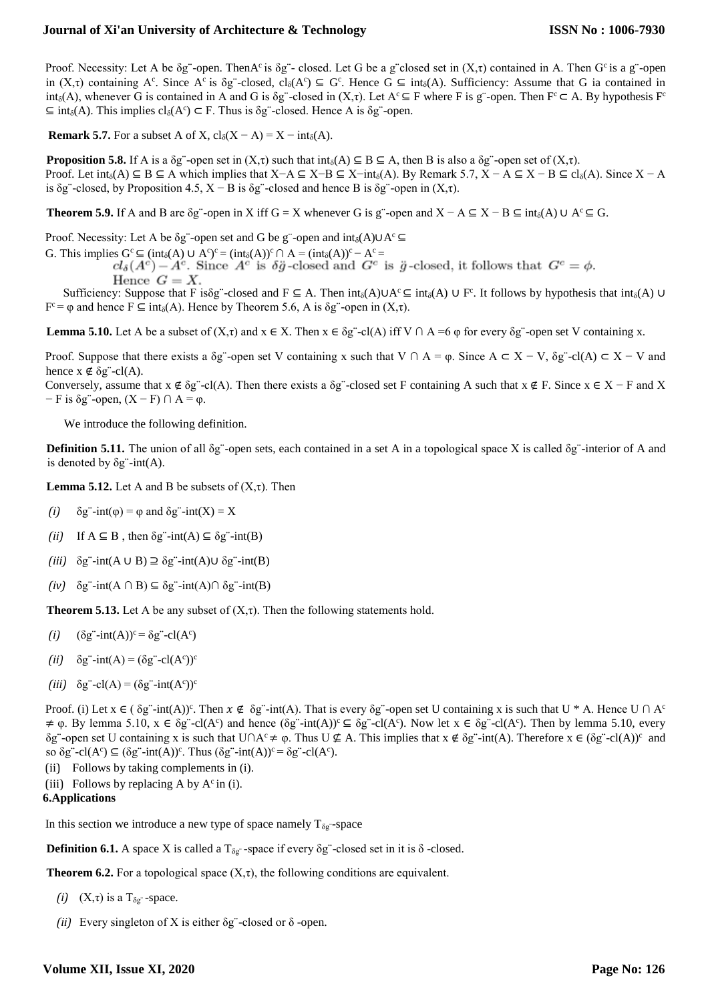Proof. Necessity: Let A be  $\delta g$  -open. ThenA<sup>c</sup> is  $\delta g$  - closed. Let G be a g closed set in  $(X, \tau)$  contained in A. Then G<sup>c</sup> is a g -open in  $(X,\tau)$  containing A<sup>c</sup>. Since A<sup>c</sup> is  $\delta g$  -closed, cl<sub>δ</sub>(A<sup>c</sup>)  $\subseteq G^c$ . Hence  $G \subseteq int_\delta(A)$ . Sufficiency: Assume that G ia contained in int<sub>δ</sub>(A), whenever G is contained in A and G is δg"-closed in  $(X,\tau)$ . Let  $A^c \subseteq F$  where F is g"-open. Then  $F^c \subseteq A$ . By hypothesis  $F^c$  $\subseteq$  int<sub>δ</sub>(A). This implies  $cl_{\delta}(A^c) \subset F$ . Thus is  $\delta g^c$ -closed. Hence A is  $\delta g^c$ -open.

**Remark 5.7.** For a subset A of X,  $cl_{\delta}(X - A) = X - int_{\delta}(A)$ .

**Proposition 5.8.** If A is a  $\delta$ g"-open set in  $(X,\tau)$  such that int<sub> $\delta$ </sub> $(A) \subseteq B \subseteq A$ , then B is also a  $\delta$ g"-open set of  $(X,\tau)$ . Proof. Let  $int_{\delta}(A) \subseteq B \subseteq A$  which implies that  $X-A \subseteq X-B \subseteq X-int_{\delta}(A)$ . By Remark 5.7,  $X - A \subseteq X - B \subseteq cl_{\delta}(A)$ . Since  $X - A$ is δg"-closed, by Proposition 4.5,  $X - B$  is δg"-closed and hence B is δg"-open in  $(X,τ)$ .

**Theorem 5.9.** If A and B are  $\delta$ g¨-open in X iff G = X whenever G is g¨-open and X − A ⊆ X − B ⊆ int<sub> $\delta$ </sub>(A) ∪ A<sup>c</sup> ⊆ G.

Proof. Necessity: Let A be  $\delta g^{\dagger}$ -open set and G be g"-open and int<sub>δ</sub>(A)∪A<sup>c</sup>  $\subseteq$ 

G. This implies  $G^c \subseteq (int_{\delta}(A) \cup A^c)^c = (int_{\delta}(A))^c \cap A = (int_{\delta}(A))^c - A^c =$ 

Hence  $G=X$ .

Sufficiency: Suppose that F is $\delta g^-$ -closed and F ⊆ A. Then int<sub> $\delta(A) \cup A^c \subseteq int_{\delta}(A) \cup F^c$ . It follows by hypothesis that int $_{\delta}(A)$  U</sub>  $F^c = \varphi$  and hence  $F \subseteq \text{int}_{\delta}(A)$ . Hence by Theorem 5.6, A is  $\delta g^c$ -open in  $(X, \tau)$ .

**Lemma 5.10.** Let A be a subset of  $(X,\tau)$  and  $x \in X$ . Then  $x \in \delta g$  -cl(A) iff V  $\cap$  A =6  $\varphi$  for every  $\delta g$  -open set V containing x.

Proof. Suppose that there exists a  $\delta g$  open set V containing x such that V  $\cap$  A =  $\varphi$ . Since A ⊂ X − V,  $\delta g$  -cl(A) ⊂ X − V and hence  $x \notin \delta g$ "-cl(A).

Conversely, assume that  $x \notin \delta g$  -cl(A). Then there exists a  $\delta g$  -closed set F containing A such that  $x \notin F$ . Since  $x \in X - F$  and X  $-F$  is  $\delta$ g"-open,  $(X - F) \cap A = \varphi$ .

We introduce the following definition.

**Definition 5.11.** The union of all δg"-open sets, each contained in a set A in a topological space X is called δg"-interior of A and is denoted by  $\delta g$ "-int(A).

**Lemma 5.12.** Let A and B be subsets of  $(X,\tau)$ . Then

- *(i)*  $\delta g$  -int( $\varphi$ ) =  $\varphi$  and  $\delta g$  -int(X) = X
- (*ii*) If  $A \subseteq B$ , then  $\delta g$  -int(A)  $\subseteq \delta g$  -int(B)
- *(iii)* δg¨-int(A ∪ B) ⊇ δg¨-int(A)∪ δg¨-int(B)
- *(iv)* δg¨-int(A ∩ B) ⊆ δg¨-int(A)∩ δg¨-int(B)

**Theorem 5.13.** Let A be any subset of  $(X, \tau)$ . Then the following statements hold.

- $(i)$   $(\delta g^{-} \text{-} \text{int}(A))^c = \delta g^{-} \text{-} \text{cl}(A^c)$
- (*ii*)  $\delta g$  int(A) =  $(\delta g$  cl(A<sup>c</sup>))<sup>c</sup>
- $(iii)$   $\delta g^{-}$ -cl(A) =  $(\delta g^{-}$ -int(A<sup>c</sup>))<sup>c</sup>

Proof. (i) Let  $x \in (\delta g^{-} \text{int}(A))^c$ . Then  $x \notin \delta g^{-} \text{int}(A)$ . That is every  $\delta g^{-}$ -open set U containing x is such that U \* A. Hence U  $\cap A^c$  $\neq \varphi$ . By lemma 5.10,  $x \in \delta g$  -cl(A<sup>c</sup>) and hence  $(\delta g$  -int(A))<sup>c</sup>  $\subseteq \delta g$  -cl(A<sup>c</sup>). Now let  $x \in \delta g$  -cl(A<sup>c</sup>). Then by lemma 5.10, every  $\delta g$  -open set U containing x is such that U∩A<sup>c</sup> ≠ φ. Thus U ⊈ A. This implies that x ∉  $\delta g$  -int(A). Therefore x ∈ ( $\delta g$  -cl(A))<sup>c</sup> and so  $\delta g$ "-cl(A°)  $\subseteq (\delta g$ "-int(A))°. Thus  $(\delta g$ "-int(A))° =  $\delta g$ "-cl(A°).

- (ii) Follows by taking complements in (i).
- (iii) Follows by replacing A by  $A^c$  in (i).

## **6.Applications**

In this section we introduce a new type of space namely  $T_{\delta g}$  -space

**Definition 6.1.** A space X is called a  $T_{\delta g}$  -space if every  $\delta g$  -closed set in it is  $\delta$  -closed.

**Theorem 6.2.** For a topological space  $(X, \tau)$ , the following conditions are equivalent.

- *(i)*  $(X,\tau)$  is a  $T_{\delta g}$  -space.
- *(ii)* Every singleton of X is either  $\delta$ g"-closed or  $\delta$ -open.